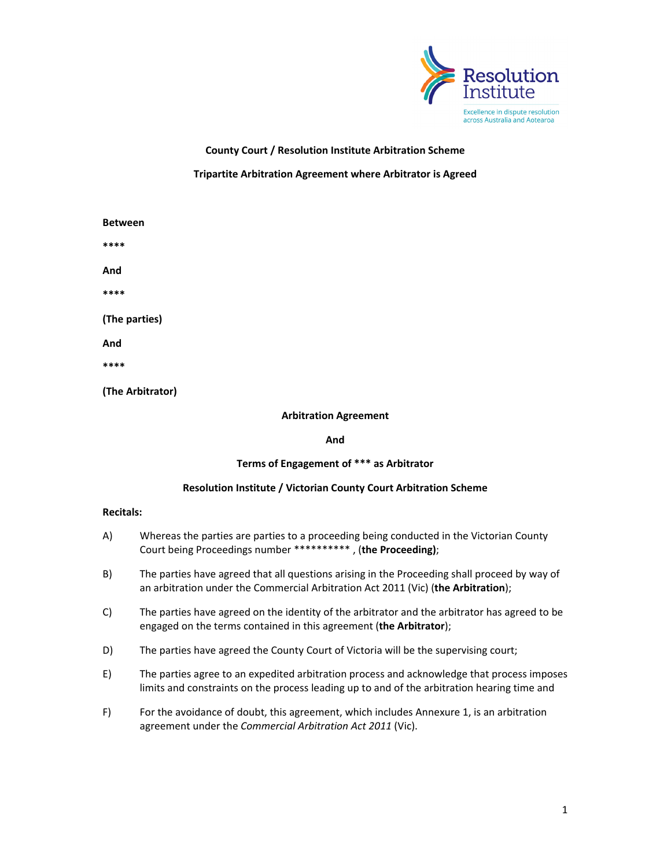

**County Court / Resolution Institute Arbitration Scheme**

## **Tripartite Arbitration Agreement where Arbitrator is Agreed**

| <b>Between</b>   |                              |
|------------------|------------------------------|
| ****             |                              |
| And              |                              |
| ****             |                              |
| (The parties)    |                              |
| And              |                              |
| ****             |                              |
| (The Arbitrator) |                              |
|                  | <b>Arbitration Agreement</b> |

**And**

# **Terms of Engagement of \*\*\* as Arbitrator**

# **Resolution Institute / Victorian County Court Arbitration Scheme**

### **Recitals:**

| A) | Whereas the parties are parties to a proceeding being conducted in the Victorian County |  |
|----|-----------------------------------------------------------------------------------------|--|
|    | Court being Proceedings number ********** , (the Proceeding);                           |  |

- B) The parties have agreed that all questions arising in the Proceeding shall proceed by way of an arbitration under the Commercial Arbitration Act 2011 (Vic) (**the Arbitration**);
- C) The parties have agreed on the identity of the arbitrator and the arbitrator has agreed to be engaged on the terms contained in this agreement (**the Arbitrator**);
- D) The parties have agreed the County Court of Victoria will be the supervising court;
- E) The parties agree to an expedited arbitration process and acknowledge that process imposes limits and constraints on the process leading up to and of the arbitration hearing time and
- F) For the avoidance of doubt, this agreement, which includes Annexure 1, is an arbitration agreement under the *Commercial Arbitration Act 2011* (Vic).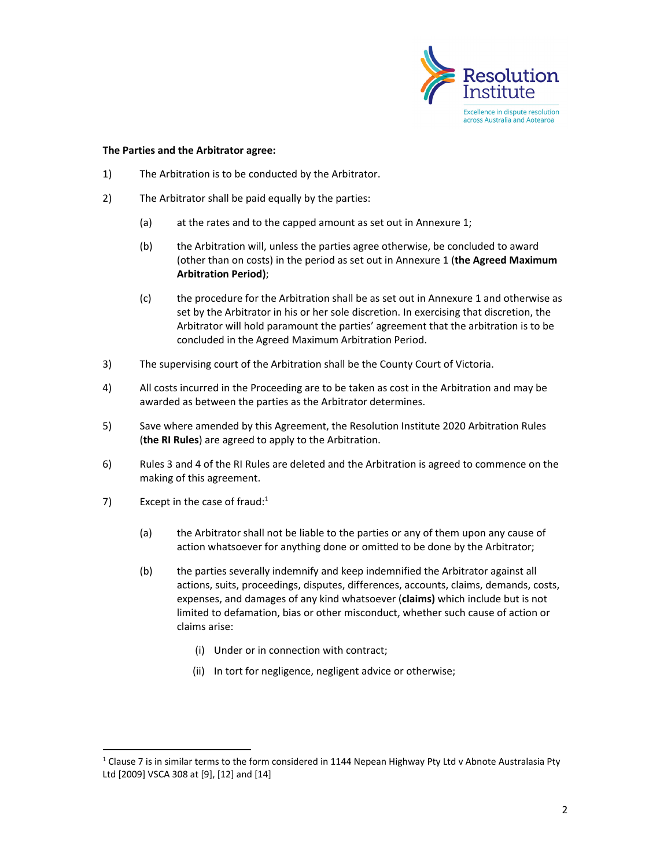

#### **The Parties and the Arbitrator agree:**

- 1) The Arbitration is to be conducted by the Arbitrator.
- 2) The Arbitrator shall be paid equally by the parties:
	- (a) at the rates and to the capped amount as set out in Annexure 1;
	- (b) the Arbitration will, unless the parties agree otherwise, be concluded to award (other than on costs) in the period as set out in Annexure 1 (**the Agreed Maximum Arbitration Period)**;
	- (c) the procedure for the Arbitration shall be as set out in Annexure 1 and otherwise as set by the Arbitrator in his or her sole discretion. In exercising that discretion, the Arbitrator will hold paramount the parties' agreement that the arbitration is to be concluded in the Agreed Maximum Arbitration Period.
- 3) The supervising court of the Arbitration shall be the County Court of Victoria.
- 4) All costs incurred in the Proceeding are to be taken as cost in the Arbitration and may be awarded as between the parties as the Arbitrator determines.
- 5) Save where amended by this Agreement, the Resolution Institute 2020 Arbitration Rules (**the RI Rules**) are agreed to apply to the Arbitration.
- 6) Rules 3 and 4 of the RI Rules are deleted and the Arbitration is agreed to commence on the making of this agreement.
- 7) Except in the case of fraud:<sup>1</sup>
	- (a) the Arbitrator shall not be liable to the parties or any of them upon any cause of action whatsoever for anything done or omitted to be done by the Arbitrator;
	- (b) the parties severally indemnify and keep indemnified the Arbitrator against all actions, suits, proceedings, disputes, differences, accounts, claims, demands, costs, expenses, and damages of any kind whatsoever (**claims)** which include but is not limited to defamation, bias or other misconduct, whether such cause of action or claims arise:
		- (i) Under or in connection with contract;
		- (ii) In tort for negligence, negligent advice or otherwise;

 $1$  Clause 7 is in similar terms to the form considered in 1144 Nepean Highway Pty Ltd v Abnote Australasia Pty Ltd [2009] VSCA 308 at [9], [12] and [14]